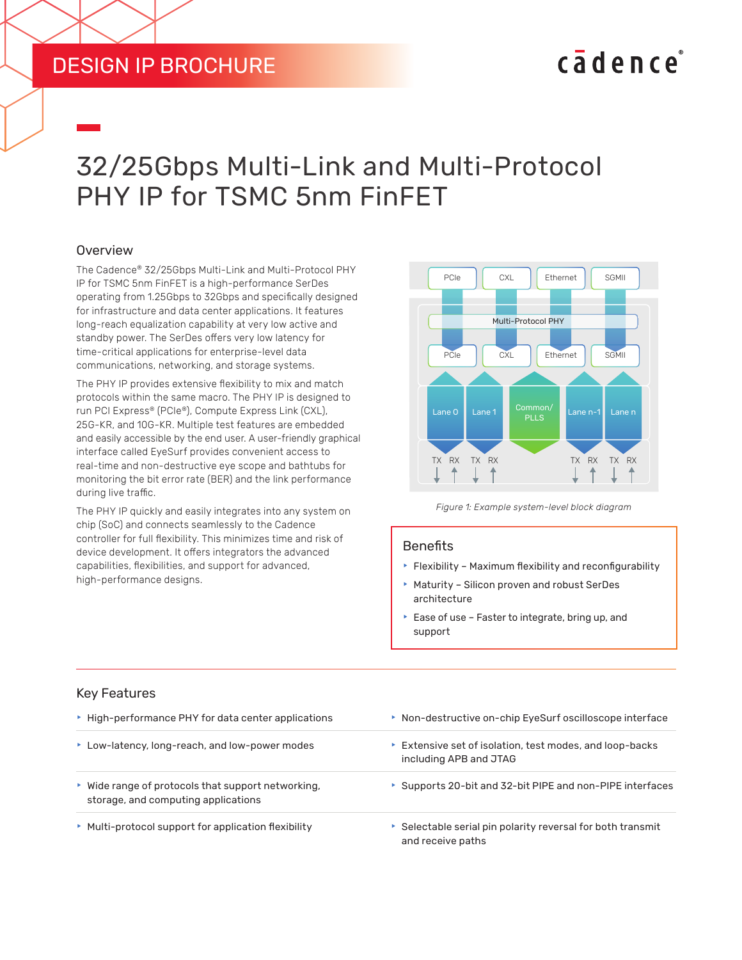### **DESIGN IP BROCHURE**

# cadence

## 32/25Gbps Multi-Link and Multi-Protocol PHY IP for TSMC 5nm FinFET

#### **Overview**

The Cadence® 32/25Gbps Multi-Link and Multi-Protocol PHY IP for TSMC 5nm FinFET is a high-performance SerDes operating from 1.25Gbps to 32Gbps and specifically designed for infrastructure and data center applications. It features long-reach equalization capability at very low active and standby power. The SerDes offers very low latency for time-critical applications for enterprise-level data communications, networking, and storage systems.

The PHY IP provides extensive flexibility to mix and match protocols within the same macro. The PHY IP is designed to run PCI Express® (PCIe®), Compute Express Link (CXL), 25G-KR, and 10G-KR. Multiple test features are embedded and easily accessible by the end user. A user-friendly graphical interface called EyeSurf provides convenient access to real-time and non-destructive eye scope and bathtubs for monitoring the bit error rate (BER) and the link performance during live traffic. DESIGN IP BROCHURE<br>
THE CONDITIONS MULTIMET CONDITIONS TO DURING THE CARRENT CONTROL TO THE CARRENT CONTROL TO THAT AND THE CONDITIONS IN THE CONDITIONS IN A SURVEY CONDITIONS (SURVEY) there critical to the person equaliza

The PHY IP quickly and easily integrates into any system on chip (SoC) and connects seamlessly to the Cadence controller for full flexibility. This minimizes time and risk of device development. It offers integrators the advanced capabilities, flexibilities, and support for advanced, high-performance designs.



*Figure 1: Example system-level block diagram*

#### **Benefits**

- $\blacktriangleright$  Flexibility Maximum flexibility and reconfigurability
- $\blacktriangleright$  Maturity Silicon proven and robust SerDes architecture
- $\blacktriangleright$  Ease of use Faster to integrate, bring up, and support

| ▶ High-performance PHY for data center applications                                       | ▶ Non-destructive on-chip EyeSurf oscilloscope interface<br>Extensive set of isolation, test modes, and loop-backs<br>including APB and JTAG |  |
|-------------------------------------------------------------------------------------------|----------------------------------------------------------------------------------------------------------------------------------------------|--|
| ▶ Low-latency, long-reach, and low-power modes                                            |                                                                                                                                              |  |
| ▶ Wide range of protocols that support networking,<br>storage, and computing applications | ▶ Supports 20-bit and 32-bit PIPE and non-PIPE interfaces                                                                                    |  |
| • Multi-protocol support for application flexibility                                      | ▶ Selectable serial pin polarity reversal for both transmit<br>and receive paths                                                             |  |